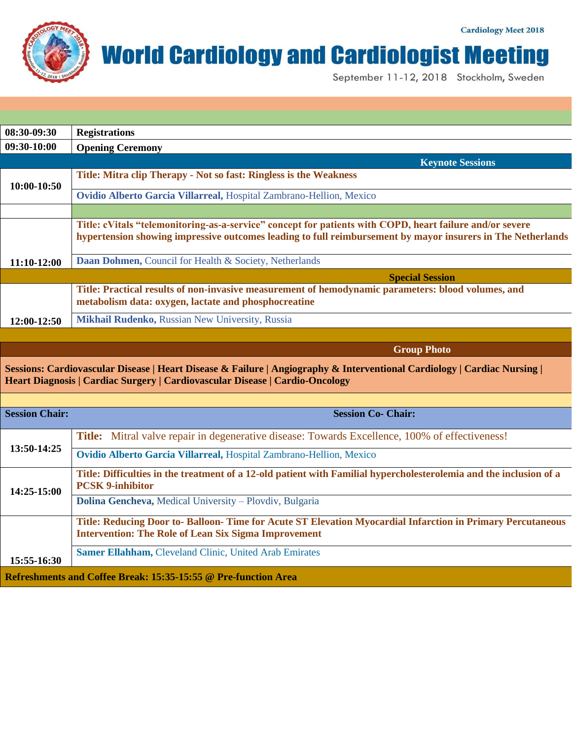## **World Cardiology and Cardiologist Meeting**

September 11-12, 2018 Stockholm, Sweden

| 08:30-09:30 | <b>Registrations</b>                                                                                                                                                                                                    |
|-------------|-------------------------------------------------------------------------------------------------------------------------------------------------------------------------------------------------------------------------|
| 09:30-10:00 | <b>Opening Ceremony</b>                                                                                                                                                                                                 |
|             | <b>Keynote Sessions</b>                                                                                                                                                                                                 |
| 10:00-10:50 | Title: Mitra clip Therapy - Not so fast: Ringless is the Weakness                                                                                                                                                       |
|             | Ovidio Alberto Garcia Villarreal, Hospital Zambrano-Hellion, Mexico                                                                                                                                                     |
|             |                                                                                                                                                                                                                         |
|             | Title: cVitals "telemonitoring-as-a-service" concept for patients with COPD, heart failure and/or severe<br>hypertension showing impressive outcomes leading to full reimbursement by mayor insurers in The Netherlands |
| 11:10-12:00 | Daan Dohmen, Council for Health & Society, Netherlands                                                                                                                                                                  |
|             | <b>Special Session</b>                                                                                                                                                                                                  |
|             | Title: Practical results of non-invasive measurement of hemodynamic parameters: blood volumes, and<br>metabolism data: oxygen, lactate and phosphocreatine                                                              |
| 12:00-12:50 | <b>Mikhail Rudenko, Russian New University, Russia</b>                                                                                                                                                                  |

**Group Photo**

**Sessions: Cardiovascular Disease | Heart Disease & Failure | Angiography & Interventional Cardiology | Cardiac Nursing | Heart Diagnosis | Cardiac Surgery | Cardiovascular Disease | Cardio-Oncology**

| <b>Session Chair:</b>                                          | <b>Session Co- Chair:</b>                                                                                                                     |  |
|----------------------------------------------------------------|-----------------------------------------------------------------------------------------------------------------------------------------------|--|
|                                                                | <b>Title:</b> Mitral valve repair in degenerative disease: Towards Excellence, 100% of effectiveness!                                         |  |
| 13:50-14:25                                                    | Ovidio Alberto Garcia Villarreal, Hospital Zambrano-Hellion, Mexico                                                                           |  |
| $14:25-15:00$                                                  | Title: Difficulties in the treatment of a 12-old patient with Familial hypercholesterolemia and the inclusion of a<br><b>PCSK 9-inhibitor</b> |  |
|                                                                | <b>Dolina Gencheva, Medical University – Plovdiv, Bulgaria</b>                                                                                |  |
|                                                                | Title: Reducing Door to- Balloon- Time for Acute ST Elevation Myocardial Infarction in Primary Percutaneous                                   |  |
|                                                                | <b>Intervention: The Role of Lean Six Sigma Improvement</b>                                                                                   |  |
| 15:55-16:30                                                    | <b>Samer Ellahham, Cleveland Clinic, United Arab Emirates</b>                                                                                 |  |
| Refreshments and Coffee Break: 15:35-15:55 @ Pre-function Area |                                                                                                                                               |  |